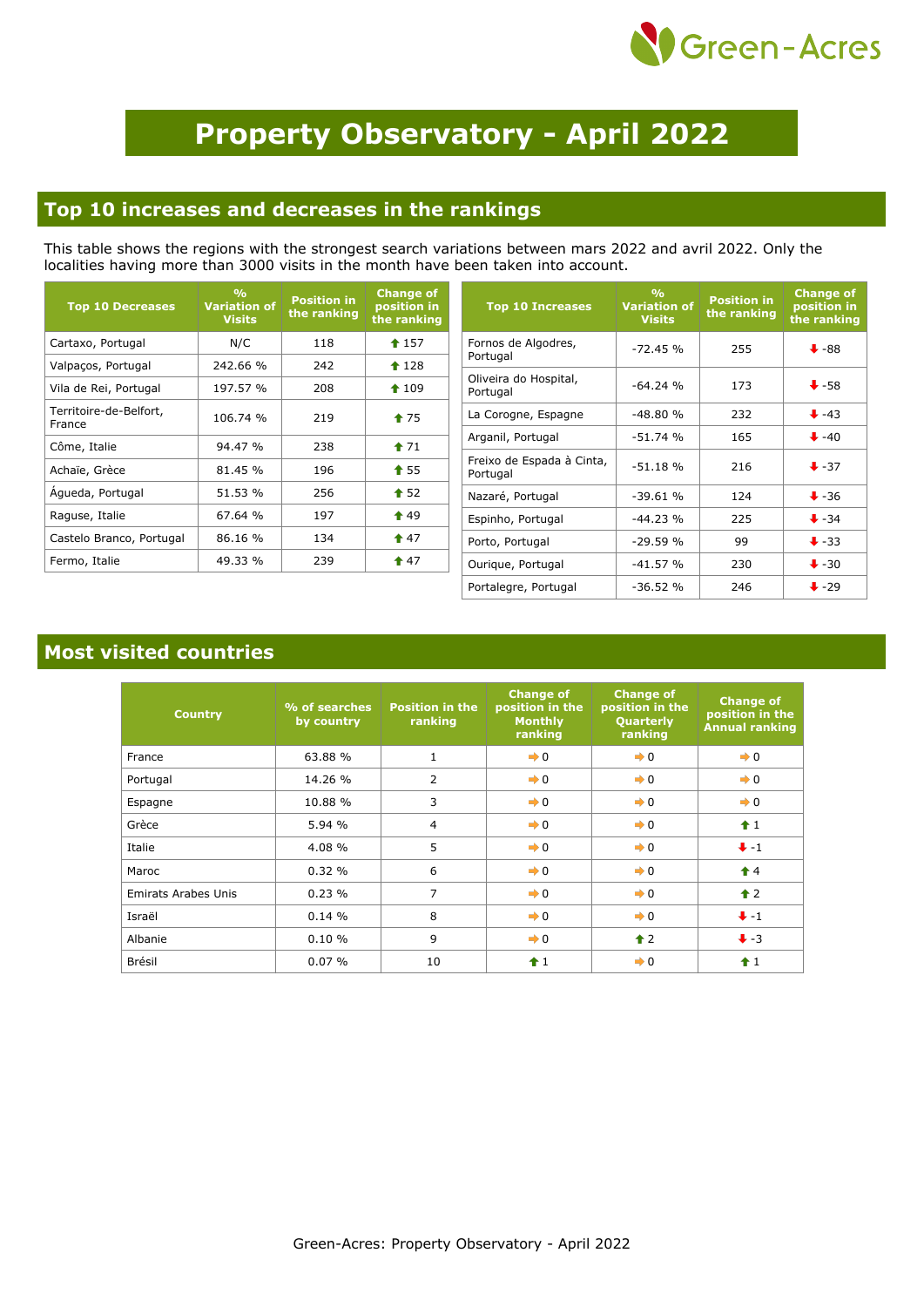

# **Property Observatory - April 2022**

#### **Top 10 increases and decreases in the rankings**

This table shows the regions with the strongest search variations between mars 2022 and avril 2022. Only the localities having more than 3000 visits in the month have been taken into account.

| <b>Top 10 Decreases</b>          | O <sub>0</sub><br><b>Variation of</b><br><b>Visits</b> | <b>Position in</b><br>the ranking | <b>Change of</b><br>position in<br>the ranking |
|----------------------------------|--------------------------------------------------------|-----------------------------------|------------------------------------------------|
| Cartaxo, Portugal                | N/C                                                    | 118                               | $4$ 157                                        |
| Valpaços, Portugal               | 242.66 %                                               | 242                               | $*128$                                         |
| Vila de Rei, Portugal            | 197.57 %                                               | 208                               | $*109$                                         |
| Territoire-de-Belfort,<br>France | 106.74 %                                               | 219                               | $*75$                                          |
| Côme, Italie                     | 94.47 %                                                | 238                               | $*71$                                          |
| Achaïe, Grèce                    | 81.45 %                                                | 196                               | $\textbf{1}$ 55                                |
| Agueda, Portugal                 | 51.53 %                                                | 256                               | $\bullet$ 52                                   |
| Raguse, Italie                   | 67.64%                                                 | 197                               | $\textcolor{blue}{\bullet}$ 49                 |
| Castelo Branco, Portugal         | 86.16 %                                                | 134                               | $\textcolor{blue}{\bullet}$ 47                 |
| Fermo, Italie                    | 49.33 %                                                | 239                               | $\textcolor{red}{\bigstar}$ 47                 |

| <b>Top 10 Increases</b>               | $\frac{0}{0}$<br><b>Variation of</b><br><b>Visits</b> | <b>Position in</b><br>the ranking | <b>Change of</b><br>position in<br>the ranking |
|---------------------------------------|-------------------------------------------------------|-----------------------------------|------------------------------------------------|
| Fornos de Algodres,<br>Portugal       | $-72.45%$                                             | 255                               | $\ddot{\bullet}$ -88                           |
| Oliveira do Hospital,<br>Portugal     | $-64.24$ %                                            | 173                               | $+58$                                          |
| La Corogne, Espagne                   | $-48.80%$                                             | 232                               | $+ -43$                                        |
| Arganil, Portugal                     | $-51.74$ %                                            | 165                               | $\ddot{+}$ -40                                 |
| Freixo de Espada à Cinta,<br>Portugal | $-51.18%$                                             | 216                               | $\ddot{\bullet}$ -37                           |
| Nazaré, Portugal                      | $-39.61%$                                             | 124                               | $\ddot{\bullet}$ -36                           |
| Espinho, Portugal                     | $-44.23%$                                             | 225                               | $\ddot{\bullet}$ -34                           |
| Porto, Portugal                       | $-29.59%$                                             | 99                                | $\ddot{\bullet}$ -33                           |
| Ourique, Portugal                     | $-41.57%$                                             | 230                               | $\bigstar$ -30                                 |
| Portalegre, Portugal                  | $-36.52%$                                             | 246                               | $\ddot{\bullet}$ -29                           |

#### **Most visited countries**

| <b>Country</b>             | % of searches<br>by country | <b>Position in the</b><br>ranking | <b>Change of</b><br>position in the<br><b>Monthly</b><br>ranking | <b>Change of</b><br>position in the<br>Quarterly<br>ranking | <b>Change of</b><br>position in the<br><b>Annual ranking</b> |
|----------------------------|-----------------------------|-----------------------------------|------------------------------------------------------------------|-------------------------------------------------------------|--------------------------------------------------------------|
| France                     | 63.88 %                     | $\mathbf{1}$                      | $\rightarrow 0$                                                  | $\rightarrow 0$                                             | $\rightarrow 0$                                              |
| Portugal                   | 14.26 %                     | $\overline{2}$                    | $\rightarrow 0$                                                  | $\rightarrow 0$                                             | $\rightarrow 0$                                              |
| Espagne                    | 10.88 %                     | 3                                 | $\rightarrow 0$                                                  | $\rightarrow 0$                                             | $\rightarrow 0$                                              |
| Grèce                      | 5.94 %                      | $\overline{4}$                    | $\rightarrow 0$                                                  | $\rightarrow 0$                                             | $\hat{1}$                                                    |
| Italie                     | 4.08 %                      | 5                                 | $\rightarrow 0$                                                  | $\rightarrow 0$                                             | $+ -1$                                                       |
| Maroc                      | 0.32%                       | 6                                 | $\rightarrow 0$                                                  | $\rightarrow 0$                                             | $\hat{\mathbf{r}}$ 4                                         |
| <b>Emirats Arabes Unis</b> | 0.23%                       | $\overline{7}$                    | $\rightarrow 0$                                                  | $\rightarrow 0$                                             | $\uparrow$ 2                                                 |
| Israël                     | 0.14%                       | 8                                 | $\rightarrow 0$                                                  | $\rightarrow 0$                                             | $+ -1$                                                       |
| Albanie                    | $0.10 \%$                   | 9                                 | $\rightarrow 0$                                                  | $\uparrow$ 2                                                | $\ddot{\bullet}$ -3                                          |
| Brésil                     | 0.07%                       | 10                                | $+1$                                                             | $\rightarrow 0$                                             | $\hat{+}1$                                                   |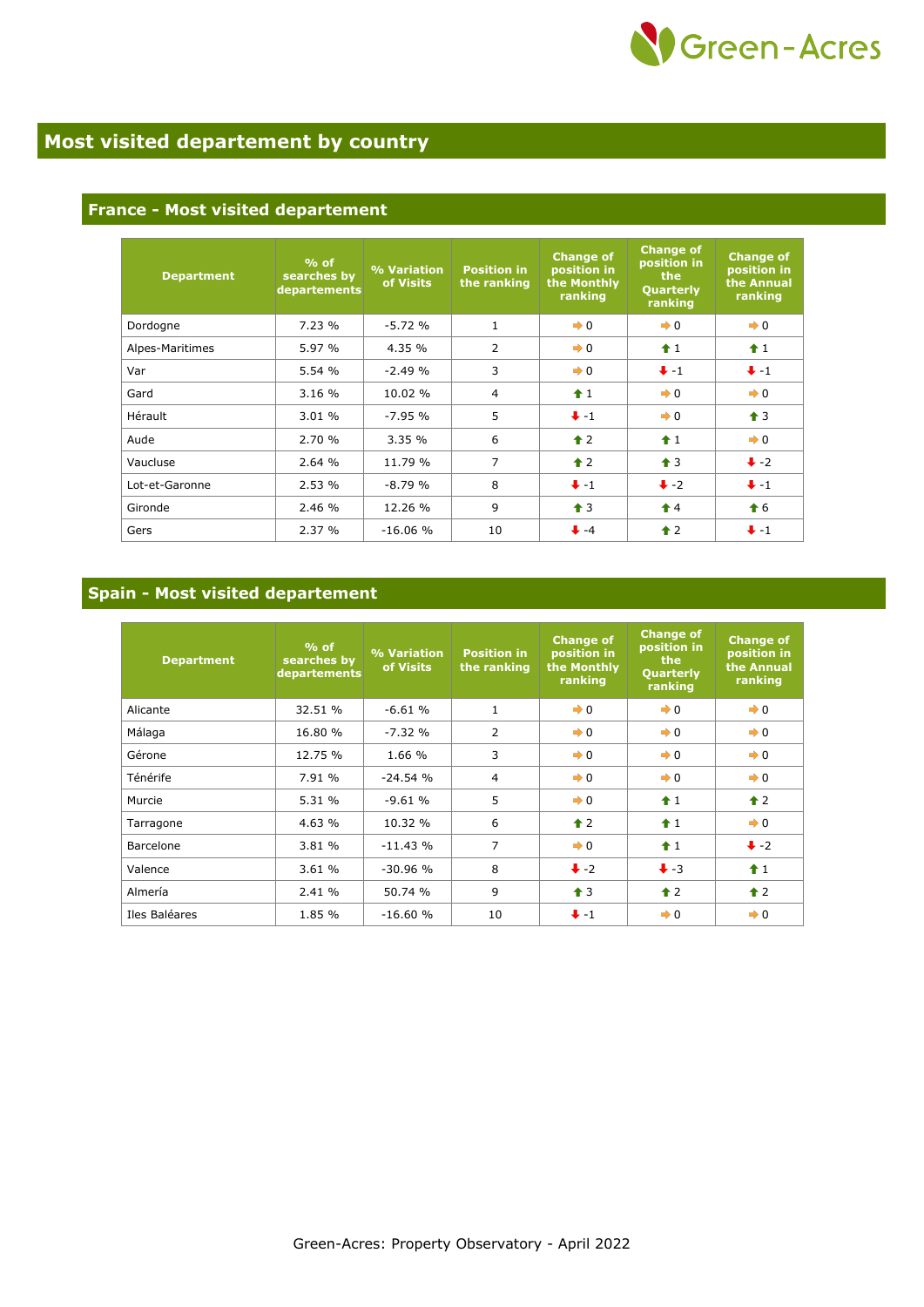

### **Most visited departement by country**

#### **France - Most visited departement**

| <b>Department</b> | $%$ of<br>searches by<br>departements | % Variation<br>of Visits | <b>Position in</b><br>the ranking | <b>Change of</b><br>position in<br>the Monthly<br>ranking | <b>Change of</b><br>position in<br>the<br>Quarterly<br>ranking | <b>Change of</b><br>position in<br>the Annual<br>ranking |
|-------------------|---------------------------------------|--------------------------|-----------------------------------|-----------------------------------------------------------|----------------------------------------------------------------|----------------------------------------------------------|
| Dordogne          | 7.23 %                                | $-5.72%$                 | $\mathbf{1}$                      | $\rightarrow 0$                                           | $\rightarrow 0$                                                | $\rightarrow 0$                                          |
| Alpes-Maritimes   | 5.97 %                                | 4.35 %                   | $\overline{2}$                    | $\rightarrow 0$                                           | $\hat{1}$                                                      | $\hat{\mathbf{r}}$ 1                                     |
| Var               | 5.54 %                                | $-2.49%$                 | 3                                 | $\rightarrow 0$                                           | $+ -1$                                                         | $+ -1$                                                   |
| Gard              | 3.16 %                                | 10.02 %                  | $\overline{4}$                    | $+1$                                                      | $\rightarrow 0$                                                | $\rightarrow 0$                                          |
| Hérault           | 3.01 %                                | $-7.95%$                 | 5                                 | $+ -1$                                                    | $\rightarrow 0$                                                | $\bigstar$ 3                                             |
| Aude              | 2.70 %                                | 3.35%                    | 6                                 | $\triangle$ 2                                             | $\hat{+}1$                                                     | $\rightarrow 0$                                          |
| Vaucluse          | 2.64 %                                | 11.79 %                  | $\overline{7}$                    | $\triangle$ 2                                             | $\bigstar$ 3                                                   | $\ddot{\bullet}$ -2                                      |
| Lot-et-Garonne    | 2.53 %                                | $-8.79%$                 | 8                                 | $+ -1$                                                    | $\ddot{\bullet}$ -2                                            | $+ -1$                                                   |
| Gironde           | 2.46 %                                | 12.26 %                  | 9                                 | $\uparrow$ 3                                              | $\hat{\mathbf{r}}$ 4                                           | $\bullet$ 6                                              |
| Gers              | 2.37 %                                | $-16.06%$                | 10                                | $+ -4$                                                    | $\hat{\bullet}$ 2                                              | $+ -1$                                                   |

#### **Spain - Most visited departement**

| <b>Department</b> | $%$ of<br>searches by<br>departements | % Variation<br>of Visits | <b>Position in</b><br>the ranking | <b>Change of</b><br>position in<br>the Monthly<br>ranking | <b>Change of</b><br>position in<br>the<br>Quarterly<br>ranking | <b>Change of</b><br>position in<br>the Annual<br>ranking |
|-------------------|---------------------------------------|--------------------------|-----------------------------------|-----------------------------------------------------------|----------------------------------------------------------------|----------------------------------------------------------|
| Alicante          | 32.51 %                               | $-6.61%$                 | $\mathbf{1}$                      | $\rightarrow 0$                                           | $\rightarrow 0$                                                | $\rightarrow 0$                                          |
| Málaga            | 16.80 %                               | $-7.32%$                 | $\overline{2}$                    | $\rightarrow 0$                                           | $\rightarrow 0$                                                | $\rightarrow 0$                                          |
| Gérone            | 12.75 %                               | 1.66 %                   | 3                                 | $\rightarrow 0$                                           | $\rightarrow 0$                                                | $\rightarrow 0$                                          |
| Ténérife          | 7.91 %                                | $-24.54%$                | $\overline{4}$                    | $\rightarrow 0$                                           | $\rightarrow 0$                                                | $\rightarrow 0$                                          |
| Murcie            | 5.31 %                                | $-9.61%$                 | 5                                 | $\rightarrow 0$                                           | $\hat{\mathbf{r}}$ 1                                           | $\uparrow$ 2                                             |
| Tarragone         | 4.63 %                                | 10.32 %                  | 6                                 | $\triangle$ 2                                             | $+1$                                                           | $\rightarrow 0$                                          |
| Barcelone         | 3.81 %                                | $-11.43%$                | 7                                 | $\rightarrow 0$                                           | $f$ 1                                                          | $\ddot{\bullet}$ -2                                      |
| Valence           | 3.61 %                                | $-30.96%$                | 8                                 | $\ddot{\bullet}$ -2                                       | $\ddot{\bullet}$ -3                                            | $\hat{+}1$                                               |
| Almería           | 2.41 %                                | 50.74 %                  | 9                                 | $\uparrow$ 3                                              | $\uparrow$ 2                                                   | $\hat{\mathbf{r}}$ 2                                     |
| Iles Baléares     | 1.85 %                                | $-16.60%$                | 10                                | $+ -1$                                                    | $\rightarrow 0$                                                | $\rightarrow 0$                                          |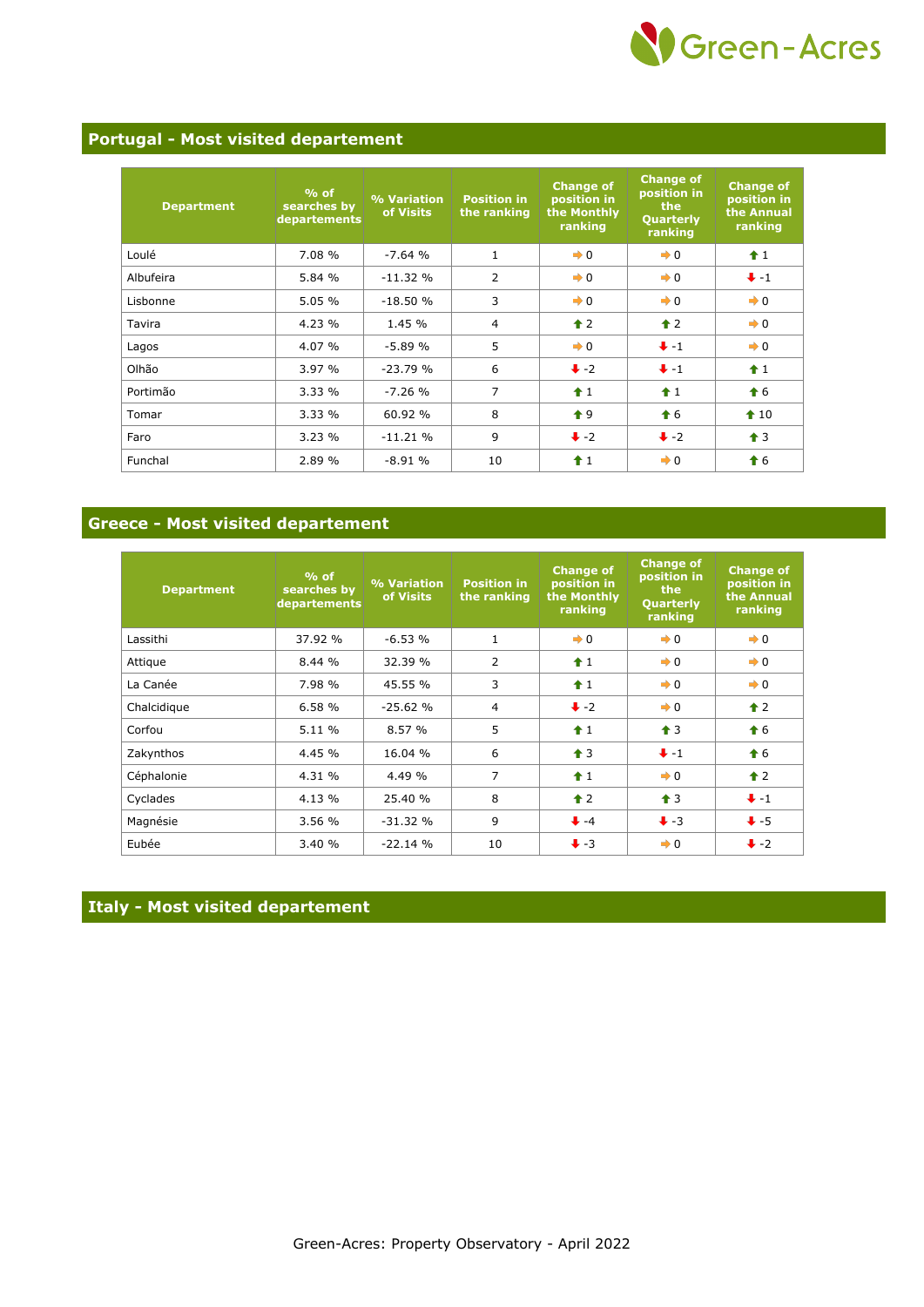

#### **Portugal - Most visited departement**

| <b>Department</b> | $%$ of<br>searches by<br>departements | % Variation<br>of Visits | <b>Position in</b><br>the ranking | <b>Change of</b><br>position in<br>the Monthly<br>ranking | <b>Change of</b><br>position in<br>the<br>Quarterly<br>ranking | <b>Change of</b><br>position in<br>the Annual<br>ranking |
|-------------------|---------------------------------------|--------------------------|-----------------------------------|-----------------------------------------------------------|----------------------------------------------------------------|----------------------------------------------------------|
| Loulé             | 7.08 %                                | $-7.64%$                 | $\mathbf{1}$                      | $\rightarrow 0$                                           | $\rightarrow 0$                                                | $\hat{1}$                                                |
| Albufeira         | 5.84 %                                | $-11.32%$                | $\overline{2}$                    | $\rightarrow 0$                                           | $\rightarrow 0$                                                | $+ -1$                                                   |
| Lisbonne          | 5.05 %                                | $-18.50%$                | 3                                 | $\rightarrow 0$                                           | $\rightarrow 0$                                                | $\rightarrow 0$                                          |
| Tavira            | 4.23 %                                | 1.45 %                   | $\overline{4}$                    | $\triangle$ 2                                             | $\triangle$ 2                                                  | $\rightarrow 0$                                          |
| Lagos             | 4.07 %                                | $-5.89%$                 | 5                                 | $\rightarrow 0$                                           | $+ -1$                                                         | $\rightarrow 0$                                          |
| Olhão             | 3.97 %                                | $-23.79%$                | 6                                 | $\ddot{\bullet}$ -2                                       | $+ -1$                                                         | $\hat{1}$                                                |
| Portimão          | 3.33%                                 | $-7.26%$                 | $\overline{7}$                    | $\hat{1}$                                                 | $\hat{\mathbf{r}}$ 1                                           | $\hat{\mathbf{f}}$ 6                                     |
| Tomar             | 3.33 %                                | 60.92 %                  | 8                                 | $\bullet$ 9                                               | $\hat{\bullet}$ 6                                              | $\textcolor{blue}{\bigstar}$ 10                          |
| Faro              | 3.23%                                 | $-11.21%$                | 9                                 | $\ddot{\bullet}$ -2                                       | $\ddot{\bullet}$ -2                                            | $\uparrow$ 3                                             |
| Funchal           | 2.89 %                                | $-8.91%$                 | 10                                | $\hat{+}1$                                                | $\rightarrow 0$                                                | $\bigstar$ 6                                             |

#### **Greece - Most visited departement**

| <b>Department</b> | $%$ of<br>searches by<br><b>departements</b> | % Variation<br>of Visits | <b>Position in</b><br>the ranking    | <b>Change of</b><br>position in<br>the Monthly<br>ranking | <b>Change of</b><br>position in<br>the<br><b>Quarterly</b><br>ranking | <b>Change of</b><br>position in<br>the Annual<br>ranking |
|-------------------|----------------------------------------------|--------------------------|--------------------------------------|-----------------------------------------------------------|-----------------------------------------------------------------------|----------------------------------------------------------|
| Lassithi          | 37.92 %                                      | $-6.53%$                 | $\mathbf{1}$                         | $\rightarrow 0$                                           | $\rightarrow 0$                                                       | $\rightarrow 0$                                          |
| Attique           | 8.44 %                                       | 32.39 %                  | $\overline{2}$<br>$\pmb{\uparrow}$ 1 |                                                           | $\rightarrow 0$                                                       | $\rightarrow 0$                                          |
| La Canée          | 7.98 %                                       | 45.55 %                  | 3                                    | $\hat{1}$                                                 | $\rightarrow 0$                                                       | $\rightarrow 0$                                          |
| Chalcidique       | 6.58%                                        | $-25.62%$                | $\overline{4}$                       | $\ddot{\bullet}$ -2                                       | $\rightarrow 0$                                                       | $\triangle$ 2                                            |
| Corfou            | 5.11 %                                       | 8.57%                    | 5                                    | $\hat{+}1$                                                | $\triangleq$ 3                                                        | $\bigstar$ 6                                             |
| Zakynthos         | 4.45 %                                       | 16.04 %                  | 6                                    | $\triangle$ 3                                             | $+ -1$                                                                | $\bigstar$ 6                                             |
| Céphalonie        | 4.31 %                                       | 4.49 %                   | 7                                    | $\hat{+}1$                                                | $\rightarrow 0$                                                       | $\hat{\mathbf{r}}$ 2                                     |
| Cyclades          | 4.13 %                                       | 25.40 %                  | 8                                    | $\triangle$ 2                                             | $\uparrow$ 3                                                          | $+ -1$                                                   |
| Magnésie          | 3.56 %                                       | $-31.32%$                | 9                                    | $+ -4$                                                    | $\ddot{\bullet}$ -3                                                   | $+5$                                                     |
| Eubée             | 3.40 %                                       | $-22.14%$                | 10                                   | $\ddot{\bullet}$ -3                                       | $\rightarrow 0$                                                       | $\ddot{\bullet}$ -2                                      |

#### **Italy - Most visited departement**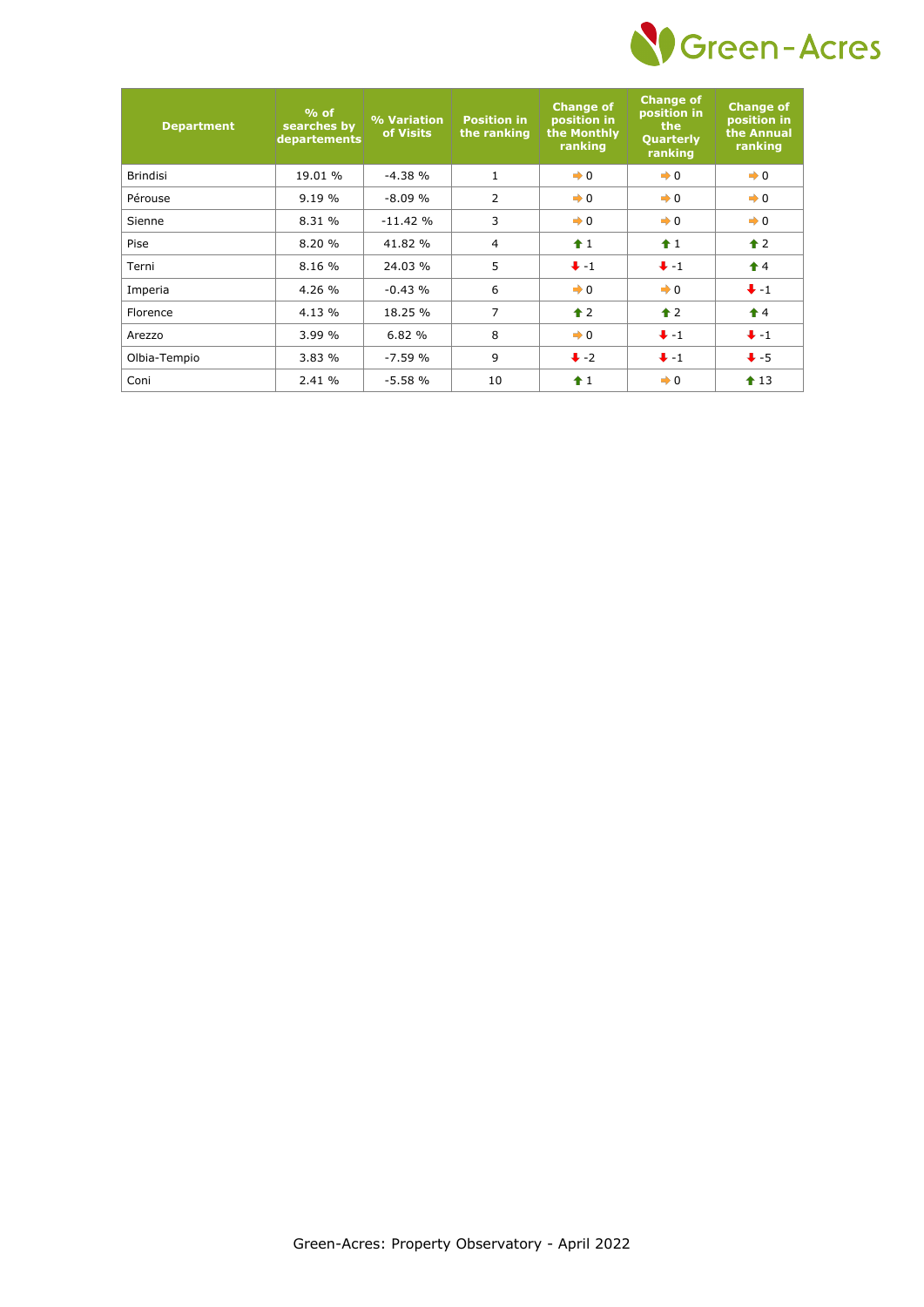

| <b>Department</b> | $%$ of<br>searches by<br>departements | % Variation<br>of Visits | <b>Position in</b><br>the ranking | <b>Change of</b><br>position in<br>the Monthly<br>ranking | <b>Change of</b><br>position in<br>the<br><b>Quarterly</b><br>ranking | <b>Change of</b><br>position in<br>the Annual<br>ranking |
|-------------------|---------------------------------------|--------------------------|-----------------------------------|-----------------------------------------------------------|-----------------------------------------------------------------------|----------------------------------------------------------|
| <b>Brindisi</b>   | 19.01 %                               | $-4.38%$                 | $\mathbf{1}$                      | $\rightarrow 0$                                           | $\rightarrow 0$                                                       | $\rightarrow 0$                                          |
| Pérouse           | 9.19%                                 | $-8.09%$                 | $\overline{2}$                    | $\rightarrow 0$                                           | $\rightarrow 0$                                                       | $\rightarrow 0$                                          |
| Sienne            | 8.31 %                                | $-11.42%$                | 3                                 | $\rightarrow 0$                                           | $\rightarrow 0$                                                       | $\rightarrow 0$                                          |
| Pise              | 8.20 %                                | 41.82 %                  | $\overline{4}$                    | $\hat{+}1$                                                | $f$ 1                                                                 | $\triangle$ 2                                            |
| Terni             | 8.16 %                                | 24.03 %                  | 5                                 | $+ -1$                                                    | $+ -1$                                                                | $\biguparrow$ 4                                          |
| Imperia           | 4.26 %                                | $-0.43%$                 | 6                                 | $\rightarrow 0$                                           | $\rightarrow 0$                                                       | $+ -1$                                                   |
| Florence          | 4.13 %                                | 18.25 %                  | 7                                 | $\hat{\mathbf{r}}$ 2                                      | $\hat{\mathbf{r}}$ 2                                                  | $\hat{\mathbf{r}}$ 4                                     |
| Arezzo            | 3.99 %                                | 6.82 %                   | 8                                 | $\rightarrow 0$                                           | $+ -1$                                                                | $+ -1$                                                   |
| Olbia-Tempio      | 3.83 %                                | $-7.59%$                 | 9                                 | $\ddot{\bullet}$ -2                                       | $+ -1$                                                                | $\bigvee$ -5                                             |
| Coni              | 2.41 %                                | $-5.58%$                 | 10                                | $\hat{+}1$                                                | $\rightarrow 0$                                                       | $\triangle$ 13                                           |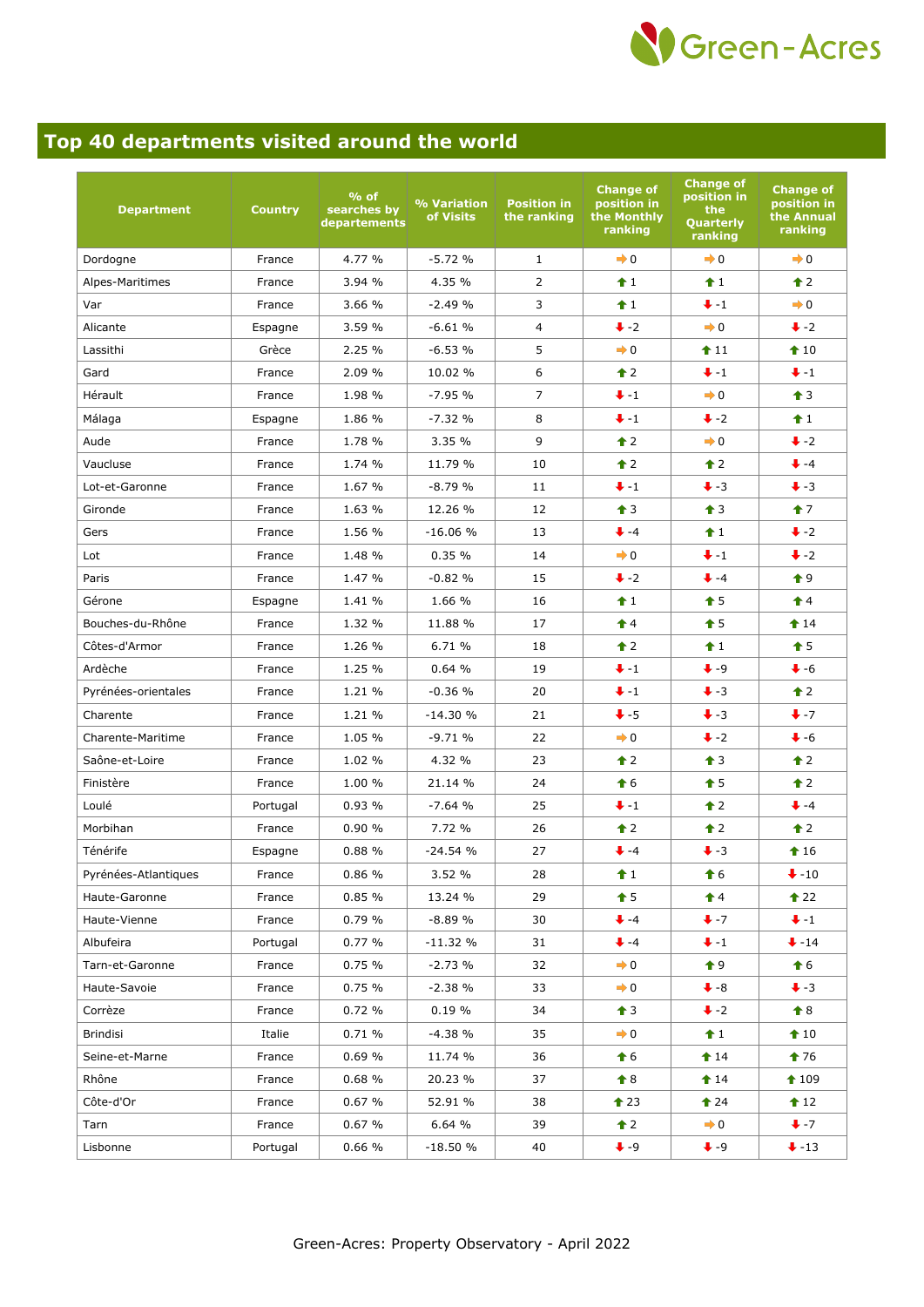

## **Top 40 departments visited around the world**

| <b>Department</b>    | <b>Country</b> | $%$ of<br>searches by<br>departements | % Variation<br>of Visits | <b>Position in</b><br>the ranking | <b>Change of</b><br>position in<br>the Monthly<br>ranking | <b>Change of</b><br>position in<br>the<br>Quarterly<br>ranking | <b>Change of</b><br>position in<br>the Annual<br>ranking |
|----------------------|----------------|---------------------------------------|--------------------------|-----------------------------------|-----------------------------------------------------------|----------------------------------------------------------------|----------------------------------------------------------|
| Dordogne             | France         | 4.77 %                                | $-5.72%$                 | $\mathbf{1}$                      | $\rightarrow 0$                                           | $\rightarrow 0$                                                | $\rightarrow 0$                                          |
| Alpes-Maritimes      | France         | 3.94 %                                | 4.35 %                   | $\overline{2}$                    | $\hat{1}$                                                 | $\hat{1}$                                                      | $\triangle$ 2                                            |
| Var                  | France         | 3.66 %                                | $-2.49%$                 | $\overline{3}$                    | f1                                                        | $+ -1$                                                         | $\rightarrow 0$                                          |
| Alicante             | Espagne        | 3.59 %                                | $-6.61%$                 | $\overline{4}$                    | $\ddot{\bullet}$ -2                                       | $\rightarrow 0$                                                | $\ddot{\bullet}$ -2                                      |
| Lassithi             | Grèce          | 2.25 %                                | $-6.53%$                 | 5                                 | $\rightarrow 0$                                           | $f$ 11                                                         | $\triangle$ 10                                           |
| Gard                 | France         | 2.09 %                                | 10.02 %                  | 6                                 | $\hat{\mathbf{r}}$ 2                                      | $+ -1$                                                         | $+ -1$                                                   |
| Hérault              | France         | 1.98 %                                | $-7.95%$                 | $\overline{7}$                    | $+ -1$                                                    | $\rightarrow 0$                                                | $\bullet$ 3                                              |
| Málaga               | Espagne        | 1.86 %                                | $-7.32%$                 | 8                                 | $+ -1$                                                    | $\ddot{\bullet}$ -2                                            | $\textcolor{red}{\bigstar}$ 1                            |
| Aude                 | France         | 1.78 %                                | 3.35 %                   | 9                                 | $\hat{\mathbf{r}}$ 2                                      | $\rightarrow 0$                                                | $\ddot{\bullet}$ -2                                      |
| Vaucluse             | France         | 1.74 %                                | 11.79 %                  | 10                                | $\hat{\mathbf{r}}$ 2                                      | $\hat{\mathbf{r}}$ 2                                           | $+ -4$                                                   |
| Lot-et-Garonne       | France         | 1.67 %                                | $-8.79%$                 | 11                                | $+ -1$                                                    | $\ddot{\bullet}$ -3                                            | $\ddot{\bullet}$ -3                                      |
| Gironde              | France         | 1.63 %                                | 12.26 %                  | 12                                | $\hat{\mathbf{T}}$ 3                                      | $\triangleq$ 3                                                 | 17                                                       |
| Gers                 | France         | 1.56 %                                | $-16.06%$                | 13                                | $+ -4$                                                    | f1                                                             | $\ddot{\bullet}$ -2                                      |
| Lot                  | France         | 1.48 %                                | 0.35%                    | 14                                | $\rightarrow 0$                                           | $+ -1$                                                         | $\ddot{\bullet}$ -2                                      |
| Paris                | France         | 1.47 %                                | $-0.82%$                 | 15                                | $\ddot{\bullet}$ -2                                       | $+ -4$                                                         | $\bullet$ 9                                              |
| Gérone               | Espagne        | 1.41 %                                | 1.66 %                   | 16                                | f1                                                        | $\bullet$ 5                                                    | $\hat{\mathbf{T}}$ 4                                     |
| Bouches-du-Rhône     | France         | 1.32 %                                | 11.88 %                  | 17                                | $\hat{\mathbf{r}}$ 4                                      | $\hat{\mathbf{T}}$ 5                                           | $14$                                                     |
| Côtes-d'Armor        | France         | 1.26 %                                | 6.71 %                   | 18                                | $\hat{\mathbf{r}}$ 2                                      | $\hat{1}$                                                      | $\bullet$ 5                                              |
| Ardèche              | France         | 1.25 %                                | 0.64%                    | 19                                | $+ -1$                                                    | $\ddag$ -9                                                     | $\ddot{\bullet}$ -6                                      |
| Pyrénées-orientales  | France         | 1.21 %                                | $-0.36%$                 | 20                                | $+ -1$                                                    | $\ddot{\bullet}$ -3                                            | $\triangle$ 2                                            |
| Charente             | France         | 1.21 %                                | $-14.30%$                | 21                                | $+ -5$                                                    | $\ddot{\bullet}$ -3                                            | $+ -7$                                                   |
| Charente-Maritime    | France         | 1.05 %                                | $-9.71%$                 | 22                                | $\rightarrow 0$                                           | $\ddot{\bullet}$ -2                                            | $\bullet$ -6                                             |
| Saône-et-Loire       | France         | 1.02 %                                | 4.32 %                   | 23                                | $\hat{\mathbf{r}}$ 2                                      | $\hat{\mathbf{T}}$ 3                                           | $\bullet$ 2                                              |
| Finistère            | France         | 1.00 %                                | 21.14 %                  | 24                                | $\hat{\mathbf{f}}$ 6                                      | $\hat{\mathbf{T}}$ 5                                           | $\bullet$ 2                                              |
| Loulé                | Portugal       | 0.93%                                 | $-7.64%$                 | 25                                | $+ -1$                                                    | $\hat{\mathbf{r}}$ 2                                           | $+ -4$                                                   |
| Morbihan             | France         | 0.90%                                 | 7.72 %                   | 26                                | $\triangle$ 2                                             | $\triangle$ 2                                                  | $\triangle$ 2                                            |
| Ténérife             | Espagne        | 0.88%                                 | $-24.54%$                | 27                                | $+ -4$                                                    | $\ddot{\bullet}$ -3                                            | $\textcolor{blue}{\bullet}$ 16                           |
| Pyrénées-Atlantiques | France         | 0.86%                                 | 3.52 %                   | 28                                | f1                                                        | $\textcolor{red}{\bigstar}$ 6                                  | $\bigvee -10$                                            |
| Haute-Garonne        | France         | 0.85%                                 | 13.24 %                  | 29                                | $\textcolor{blue}{\bullet}$ 5                             | $\hat{\mathbf{r}}$ 4                                           | $\triangle$ 22                                           |
| Haute-Vienne         | France         | 0.79%                                 | $-8.89%$                 | 30                                | $+ -4$                                                    | $+ -7$                                                         | $\bullet$ -1                                             |
| Albufeira            | Portugal       | 0.77%                                 | -11.32 %                 | 31                                | $+ -4$                                                    | $\ddot{+}$ -1                                                  | $\ddot{\bullet}$ -14                                     |
| Tarn-et-Garonne      | France         | 0.75%                                 | $-2.73%$                 | 32                                | $\rightarrow 0$                                           | $\bullet$ 9                                                    | $\bullet$ 6                                              |
| Haute-Savoie         | France         | 0.75%                                 | $-2.38%$                 | 33                                | $\rightarrow 0$                                           | $\bullet$ -8                                                   | $\bullet$ -3                                             |
| Corrèze              | France         | 0.72%                                 | $0.19 \%$                | 34                                | $\triangleq$ 3                                            | $\ddot{\bullet}$ -2                                            | $\bullet$ 8                                              |
| Brindisi             | Italie         | 0.71%                                 | $-4.38%$                 | 35                                | $\rightarrow 0$                                           | f1                                                             | $\triangle$ 10                                           |
| Seine-et-Marne       | France         | 0.69%                                 | 11.74 %                  | 36                                | $\bullet$ 6                                               | $\textbf{\textcolor{red}{\bullet}}$ 14                         | $176$                                                    |
| Rhône                | France         | 0.68%                                 | 20.23 %                  | 37                                | $\textcolor{red}{\bigstar}$ 8                             | $14$                                                           | 109                                                      |
| Côte-d'Or            | France         | 0.67%                                 | 52.91 %                  | 38                                | $\textcolor{blue}{\bullet}$ 23                            | $124$                                                          | $\textbf{12}$                                            |
| Tarn                 | France         | 0.67%                                 | 6.64 %                   | 39                                | $\triangle$ 2                                             | $\rightarrow 0$                                                | $+ -7$                                                   |
| Lisbonne             | Portugal       | 0.66%                                 | $-18.50%$                | 40                                | $+ -9$                                                    | $\bullet$ -9                                                   | $\bullet$ -13                                            |